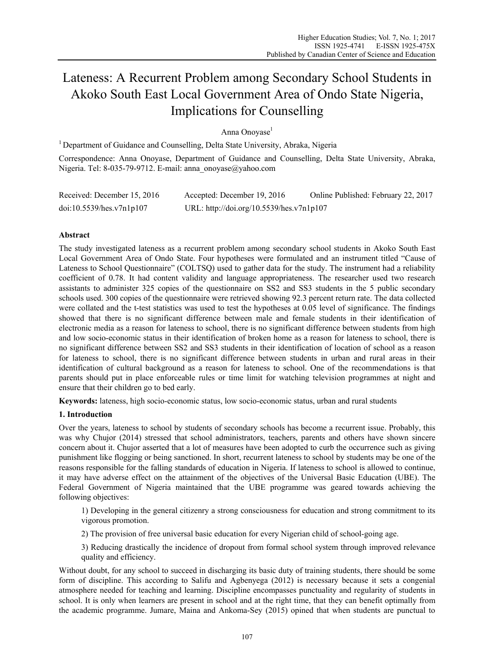# Lateness: A Recurrent Problem among Secondary School Students in Akoko South East Local Government Area of Ondo State Nigeria, Implications for Counselling

Anna Onovase<sup>1</sup>

<sup>1</sup> Department of Guidance and Counselling, Delta State University, Abraka, Nigeria

Correspondence: Anna Onoyase, Department of Guidance and Counselling, Delta State University, Abraka, Nigeria. Tel: 8-035-79-9712. E-mail: anna\_onoyase@yahoo.com

| Received: December 15, 2016 | Accepted: December 19, 2016              | Online Published: February 22, 2017 |
|-----------------------------|------------------------------------------|-------------------------------------|
| doi:10.5539/hes.v7n1p107    | URL: http://doi.org/10.5539/hes.v7n1p107 |                                     |

# **Abstract**

The study investigated lateness as a recurrent problem among secondary school students in Akoko South East Local Government Area of Ondo State. Four hypotheses were formulated and an instrument titled "Cause of Lateness to School Questionnaire" (COLTSQ) used to gather data for the study. The instrument had a reliability coefficient of 0.78. It had content validity and language appropriateness. The researcher used two research assistants to administer 325 copies of the questionnaire on SS2 and SS3 students in the 5 public secondary schools used. 300 copies of the questionnaire were retrieved showing 92.3 percent return rate. The data collected were collated and the t-test statistics was used to test the hypotheses at 0.05 level of significance. The findings showed that there is no significant difference between male and female students in their identification of electronic media as a reason for lateness to school, there is no significant difference between students from high and low socio-economic status in their identification of broken home as a reason for lateness to school, there is no significant difference between SS2 and SS3 students in their identification of location of school as a reason for lateness to school, there is no significant difference between students in urban and rural areas in their identification of cultural background as a reason for lateness to school. One of the recommendations is that parents should put in place enforceable rules or time limit for watching television programmes at night and ensure that their children go to bed early.

**Keywords:** lateness, high socio-economic status, low socio-economic status, urban and rural students

# **1. Introduction**

Over the years, lateness to school by students of secondary schools has become a recurrent issue. Probably, this was why Chujor (2014) stressed that school administrators, teachers, parents and others have shown sincere concern about it. Chujor asserted that a lot of measures have been adopted to curb the occurrence such as giving punishment like flogging or being sanctioned. In short, recurrent lateness to school by students may be one of the reasons responsible for the falling standards of education in Nigeria. If lateness to school is allowed to continue, it may have adverse effect on the attainment of the objectives of the Universal Basic Education (UBE). The Federal Government of Nigeria maintained that the UBE programme was geared towards achieving the following objectives:

1) Developing in the general citizenry a strong consciousness for education and strong commitment to its vigorous promotion.

2) The provision of free universal basic education for every Nigerian child of school-going age.

3) Reducing drastically the incidence of dropout from formal school system through improved relevance quality and efficiency.

Without doubt, for any school to succeed in discharging its basic duty of training students, there should be some form of discipline. This according to Salifu and Agbenyega (2012) is necessary because it sets a congenial atmosphere needed for teaching and learning. Discipline encompasses punctuality and regularity of students in school. It is only when learners are present in school and at the right time, that they can benefit optimally from the academic programme. Jumare, Maina and Ankoma-Sey (2015) opined that when students are punctual to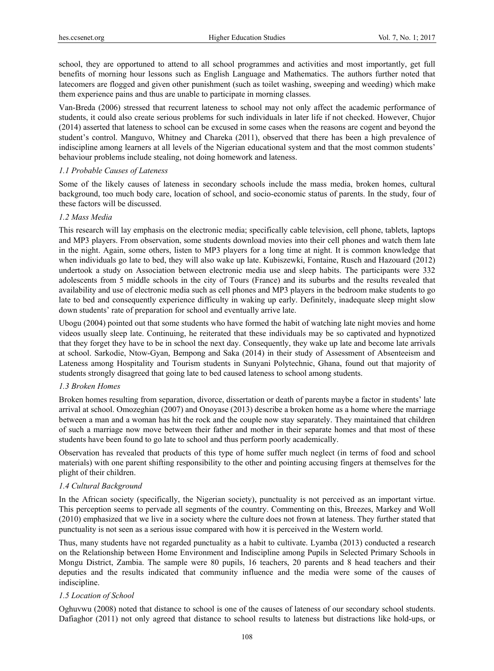school, they are opportuned to attend to all school programmes and activities and most importantly, get full benefits of morning hour lessons such as English Language and Mathematics. The authors further noted that latecomers are flogged and given other punishment (such as toilet washing, sweeping and weeding) which make them experience pains and thus are unable to participate in morning classes.

Van-Breda (2006) stressed that recurrent lateness to school may not only affect the academic performance of students, it could also create serious problems for such individuals in later life if not checked. However, Chujor (2014) asserted that lateness to school can be excused in some cases when the reasons are cogent and beyond the student's control. Manguvo, Whitney and Chareka (2011), observed that there has been a high prevalence of indiscipline among learners at all levels of the Nigerian educational system and that the most common students' behaviour problems include stealing, not doing homework and lateness.

# *1.1 Probable Causes of Lateness*

Some of the likely causes of lateness in secondary schools include the mass media, broken homes, cultural background, too much body care, location of school, and socio-economic status of parents. In the study, four of these factors will be discussed.

#### *1.2 Mass Media*

This research will lay emphasis on the electronic media; specifically cable television, cell phone, tablets, laptops and MP3 players. From observation, some students download movies into their cell phones and watch them late in the night. Again, some others, listen to MP3 players for a long time at night. It is common knowledge that when individuals go late to bed, they will also wake up late. Kubiszewki, Fontaine, Rusch and Hazouard (2012) undertook a study on Association between electronic media use and sleep habits. The participants were 332 adolescents from 5 middle schools in the city of Tours (France) and its suburbs and the results revealed that availability and use of electronic media such as cell phones and MP3 players in the bedroom make students to go late to bed and consequently experience difficulty in waking up early. Definitely, inadequate sleep might slow down students' rate of preparation for school and eventually arrive late.

Ubogu (2004) pointed out that some students who have formed the habit of watching late night movies and home videos usually sleep late. Continuing, he reiterated that these individuals may be so captivated and hypnotized that they forget they have to be in school the next day. Consequently, they wake up late and become late arrivals at school. Sarkodie, Ntow-Gyan, Bempong and Saka (2014) in their study of Assessment of Absenteeism and Lateness among Hospitality and Tourism students in Sunyani Polytechnic, Ghana, found out that majority of students strongly disagreed that going late to bed caused lateness to school among students.

#### *1.3 Broken Homes*

Broken homes resulting from separation, divorce, dissertation or death of parents maybe a factor in students' late arrival at school. Omozeghian (2007) and Onoyase (2013) describe a broken home as a home where the marriage between a man and a woman has hit the rock and the couple now stay separately. They maintained that children of such a marriage now move between their father and mother in their separate homes and that most of these students have been found to go late to school and thus perform poorly academically.

Observation has revealed that products of this type of home suffer much neglect (in terms of food and school materials) with one parent shifting responsibility to the other and pointing accusing fingers at themselves for the plight of their children.

#### *1.4 Cultural Background*

In the African society (specifically, the Nigerian society), punctuality is not perceived as an important virtue. This perception seems to pervade all segments of the country. Commenting on this, Breezes, Markey and Woll (2010) emphasized that we live in a society where the culture does not frown at lateness. They further stated that punctuality is not seen as a serious issue compared with how it is perceived in the Western world.

Thus, many students have not regarded punctuality as a habit to cultivate. Lyamba (2013) conducted a research on the Relationship between Home Environment and Indiscipline among Pupils in Selected Primary Schools in Mongu District, Zambia. The sample were 80 pupils, 16 teachers, 20 parents and 8 head teachers and their deputies and the results indicated that community influence and the media were some of the causes of indiscipline.

# *1.5 Location of School*

Oghuvwu (2008) noted that distance to school is one of the causes of lateness of our secondary school students. Dafiaghor (2011) not only agreed that distance to school results to lateness but distractions like hold-ups, or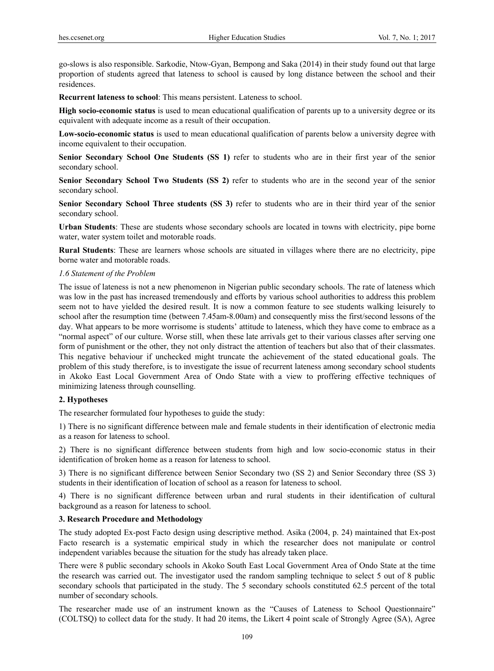go-slows is also responsible. Sarkodie, Ntow-Gyan, Bempong and Saka (2014) in their study found out that large proportion of students agreed that lateness to school is caused by long distance between the school and their residences.

**Recurrent lateness to school**: This means persistent. Lateness to school.

**High socio-economic status** is used to mean educational qualification of parents up to a university degree or its equivalent with adequate income as a result of their occupation.

**Low-socio-economic status** is used to mean educational qualification of parents below a university degree with income equivalent to their occupation.

**Senior Secondary School One Students (SS 1)** refer to students who are in their first year of the senior secondary school.

**Senior Secondary School Two Students (SS 2)** refer to students who are in the second year of the senior secondary school.

**Senior Secondary School Three students (SS 3)** refer to students who are in their third year of the senior secondary school.

**Urban Students**: These are students whose secondary schools are located in towns with electricity, pipe borne water, water system toilet and motorable roads.

**Rural Students**: These are learners whose schools are situated in villages where there are no electricity, pipe borne water and motorable roads.

### *1.6 Statement of the Problem*

The issue of lateness is not a new phenomenon in Nigerian public secondary schools. The rate of lateness which was low in the past has increased tremendously and efforts by various school authorities to address this problem seem not to have yielded the desired result. It is now a common feature to see students walking leisurely to school after the resumption time (between 7.45am-8.00am) and consequently miss the first/second lessons of the day. What appears to be more worrisome is students' attitude to lateness, which they have come to embrace as a "normal aspect" of our culture. Worse still, when these late arrivals get to their various classes after serving one form of punishment or the other, they not only distract the attention of teachers but also that of their classmates. This negative behaviour if unchecked might truncate the achievement of the stated educational goals. The problem of this study therefore, is to investigate the issue of recurrent lateness among secondary school students in Akoko East Local Government Area of Ondo State with a view to proffering effective techniques of minimizing lateness through counselling.

## **2. Hypotheses**

The researcher formulated four hypotheses to guide the study:

1) There is no significant difference between male and female students in their identification of electronic media as a reason for lateness to school.

2) There is no significant difference between students from high and low socio-economic status in their identification of broken home as a reason for lateness to school.

3) There is no significant difference between Senior Secondary two (SS 2) and Senior Secondary three (SS 3) students in their identification of location of school as a reason for lateness to school.

4) There is no significant difference between urban and rural students in their identification of cultural background as a reason for lateness to school.

# **3. Research Procedure and Methodology**

The study adopted Ex-post Facto design using descriptive method. Asika (2004, p. 24) maintained that Ex-post Facto research is a systematic empirical study in which the researcher does not manipulate or control independent variables because the situation for the study has already taken place.

There were 8 public secondary schools in Akoko South East Local Government Area of Ondo State at the time the research was carried out. The investigator used the random sampling technique to select 5 out of 8 public secondary schools that participated in the study. The 5 secondary schools constituted 62.5 percent of the total number of secondary schools.

The researcher made use of an instrument known as the "Causes of Lateness to School Questionnaire" (COLTSQ) to collect data for the study. It had 20 items, the Likert 4 point scale of Strongly Agree (SA), Agree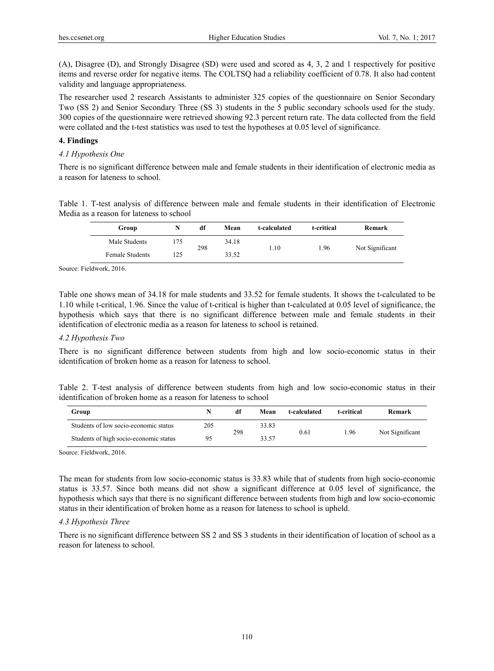(A), Disagree (D), and Strongly Disagree (SD) were used and scored as 4, 3, 2 and 1 respectively for positive items and reverse order for negative items. The COLTSQ had a reliability coefficient of 0.78. It also had content validity and language appropriateness.

The researcher used 2 research Assistants to administer 325 copies of the questionnaire on Senior Secondary Two (SS 2) and Senior Secondary Three (SS 3) students in the 5 public secondary schools used for the study. 300 copies of the questionnaire were retrieved showing 92.3 percent return rate. The data collected from the field were collated and the t-test statistics was used to test the hypotheses at 0.05 level of significance.

# **4. Findings**

### *4.1 Hypothesis One*

There is no significant difference between male and female students in their identification of electronic media as a reason for lateness to school.

Table 1. T-test analysis of difference between male and female students in their identification of Electronic Media as a reason for lateness to school

| Group           | N   | df  | Mean  | t-calculated | t-critical | Remark          |
|-----------------|-----|-----|-------|--------------|------------|-----------------|
| Male Students   | 75  | 298 | 34.18 | 1.10         | 1.96       | Not Significant |
| Female Students | 125 |     | 33.52 |              |            |                 |

Source: Fieldwork, 2016.

Table one shows mean of 34.18 for male students and 33.52 for female students. It shows the t-calculated to be 1.10 while t-critical, 1.96. Since the value of t-critical is higher than t-calculated at 0.05 level of significance, the hypothesis which says that there is no significant difference between male and female students in their identification of electronic media as a reason for lateness to school is retained.

#### *4.2 Hypothesis Two*

There is no significant difference between students from high and low socio-economic status in their identification of broken home as a reason for lateness to school.

|  |  |                                                                  |  |  |  | Table 2. T-test analysis of difference between students from high and low socio-economic status in their |  |  |
|--|--|------------------------------------------------------------------|--|--|--|----------------------------------------------------------------------------------------------------------|--|--|
|  |  | identification of broken home as a reason for lateness to school |  |  |  |                                                                                                          |  |  |

| Group                                  |     | df  | Mean  | t-calculated | t-critical | Remark          |
|----------------------------------------|-----|-----|-------|--------------|------------|-----------------|
| Students of low socio-economic status  | 205 | 298 | 33.83 | 0.61         | . 96       | Not Significant |
| Students of high socio-economic status | 95  |     | 33.57 |              |            |                 |

Source: Fieldwork, 2016.

The mean for students from low socio-economic status is 33.83 while that of students from high socio-economic status is 33.57. Since both means did not show a significant difference at 0.05 level of significance, the hypothesis which says that there is no significant difference between students from high and low socio-economic status in their identification of broken home as a reason for lateness to school is upheld.

# *4.3 Hypothesis Three*

There is no significant difference between SS 2 and SS 3 students in their identification of location of school as a reason for lateness to school.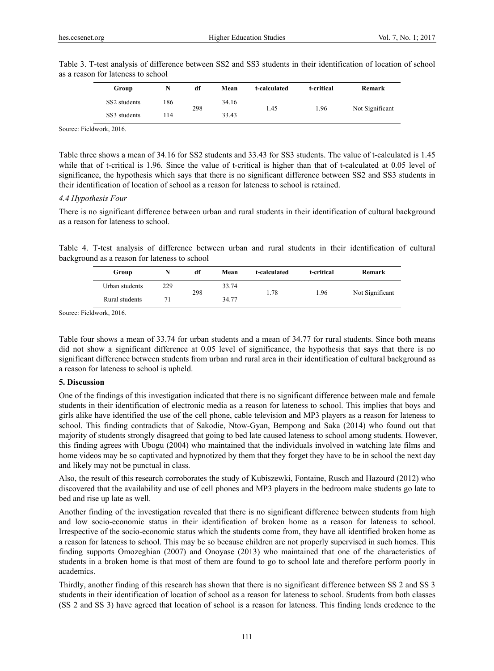| Group        | N   | df  | Mean  | t-calculated | t-critical | Remark          |
|--------------|-----|-----|-------|--------------|------------|-----------------|
| SS2 students | 186 | 298 | 34.16 | 1.45         | 1.96       | Not Significant |
| SS3 students | 14  |     | 33.43 |              |            |                 |

Table 3. T-test analysis of difference between SS2 and SS3 students in their identification of location of school as a reason for lateness to school

Source: Fieldwork, 2016.

Table three shows a mean of 34.16 for SS2 students and 33.43 for SS3 students. The value of t-calculated is 1.45 while that of t-critical is 1.96. Since the value of t-critical is higher than that of t-calculated at 0.05 level of significance, the hypothesis which says that there is no significant difference between SS2 and SS3 students in their identification of location of school as a reason for lateness to school is retained.

#### *4.4 Hypothesis Four*

There is no significant difference between urban and rural students in their identification of cultural background as a reason for lateness to school.

Table 4. T-test analysis of difference between urban and rural students in their identification of cultural background as a reason for lateness to school

| Group          |     | df  | Mean  | t-calculated | t-critical   | Remark          |
|----------------|-----|-----|-------|--------------|--------------|-----------------|
| Urban students | 229 | 298 | 33.74 |              | 1.78<br>1.96 | Not Significant |
| Rural students |     |     | 34.77 |              |              |                 |

Source: Fieldwork, 2016.

Table four shows a mean of 33.74 for urban students and a mean of 34.77 for rural students. Since both means did not show a significant difference at 0.05 level of significance, the hypothesis that says that there is no significant difference between students from urban and rural area in their identification of cultural background as a reason for lateness to school is upheld.

# **5. Discussion**

One of the findings of this investigation indicated that there is no significant difference between male and female students in their identification of electronic media as a reason for lateness to school. This implies that boys and girls alike have identified the use of the cell phone, cable television and MP3 players as a reason for lateness to school. This finding contradicts that of Sakodie, Ntow-Gyan, Bempong and Saka (2014) who found out that majority of students strongly disagreed that going to bed late caused lateness to school among students. However, this finding agrees with Ubogu (2004) who maintained that the individuals involved in watching late films and home videos may be so captivated and hypnotized by them that they forget they have to be in school the next day and likely may not be punctual in class.

Also, the result of this research corroborates the study of Kubiszewki, Fontaine, Rusch and Hazourd (2012) who discovered that the availability and use of cell phones and MP3 players in the bedroom make students go late to bed and rise up late as well.

Another finding of the investigation revealed that there is no significant difference between students from high and low socio-economic status in their identification of broken home as a reason for lateness to school. Irrespective of the socio-economic status which the students come from, they have all identified broken home as a reason for lateness to school. This may be so because children are not properly supervised in such homes. This finding supports Omozeghian (2007) and Onoyase (2013) who maintained that one of the characteristics of students in a broken home is that most of them are found to go to school late and therefore perform poorly in academics.

Thirdly, another finding of this research has shown that there is no significant difference between SS 2 and SS 3 students in their identification of location of school as a reason for lateness to school. Students from both classes (SS 2 and SS 3) have agreed that location of school is a reason for lateness. This finding lends credence to the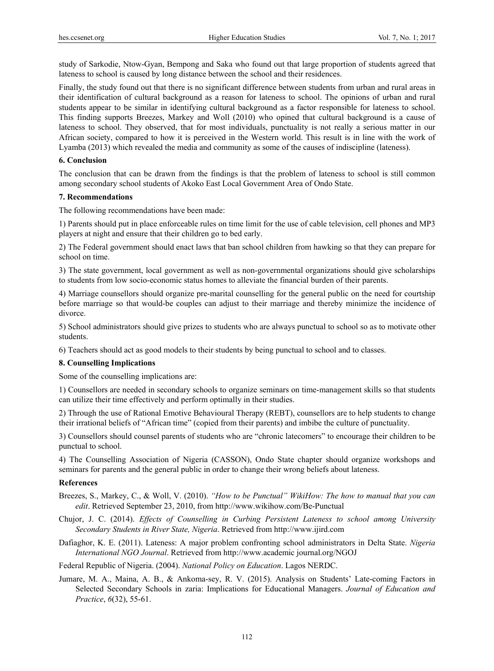study of Sarkodie, Ntow-Gyan, Bempong and Saka who found out that large proportion of students agreed that lateness to school is caused by long distance between the school and their residences.

Finally, the study found out that there is no significant difference between students from urban and rural areas in their identification of cultural background as a reason for lateness to school. The opinions of urban and rural students appear to be similar in identifying cultural background as a factor responsible for lateness to school. This finding supports Breezes, Markey and Woll (2010) who opined that cultural background is a cause of lateness to school. They observed, that for most individuals, punctuality is not really a serious matter in our African society, compared to how it is perceived in the Western world. This result is in line with the work of Lyamba (2013) which revealed the media and community as some of the causes of indiscipline (lateness).

### **6. Conclusion**

The conclusion that can be drawn from the findings is that the problem of lateness to school is still common among secondary school students of Akoko East Local Government Area of Ondo State.

#### **7. Recommendations**

The following recommendations have been made:

1) Parents should put in place enforceable rules on time limit for the use of cable television, cell phones and MP3 players at night and ensure that their children go to bed early.

2) The Federal government should enact laws that ban school children from hawking so that they can prepare for school on time.

3) The state government, local government as well as non-governmental organizations should give scholarships to students from low socio-economic status homes to alleviate the financial burden of their parents.

4) Marriage counsellors should organize pre-marital counselling for the general public on the need for courtship before marriage so that would-be couples can adjust to their marriage and thereby minimize the incidence of divorce.

5) School administrators should give prizes to students who are always punctual to school so as to motivate other students.

6) Teachers should act as good models to their students by being punctual to school and to classes.

#### **8. Counselling Implications**

Some of the counselling implications are:

1) Counsellors are needed in secondary schools to organize seminars on time-management skills so that students can utilize their time effectively and perform optimally in their studies.

2) Through the use of Rational Emotive Behavioural Therapy (REBT), counsellors are to help students to change their irrational beliefs of "African time" (copied from their parents) and imbibe the culture of punctuality.

3) Counsellors should counsel parents of students who are "chronic latecomers" to encourage their children to be punctual to school.

4) The Counselling Association of Nigeria (CASSON), Ondo State chapter should organize workshops and seminars for parents and the general public in order to change their wrong beliefs about lateness.

#### **References**

- Breezes, S., Markey, C., & Woll, V. (2010). *"How to be Punctual" WikiHow: The how to manual that you can edit*. Retrieved September 23, 2010, from http://www.wikihow.com/Be-Punctual
- Chujor, J. C. (2014). *Effects of Counselling in Curbing Persistent Lateness to school among University Secondary Students in River State, Nigeria*. Retrieved from http://www.ijird.com
- Dafiaghor, K. E. (2011). Lateness: A major problem confronting school administrators in Delta State. *Nigeria International NGO Journal*. Retrieved from http://www.academic journal.org/NGOJ

Federal Republic of Nigeria. (2004). *National Policy on Education*. Lagos NERDC.

Jumare, M. A., Maina, A. B., & Ankoma-sey, R. V. (2015). Analysis on Students' Late-coming Factors in Selected Secondary Schools in zaria: Implications for Educational Managers. *Journal of Education and Practice*, *6*(32), 55-61.